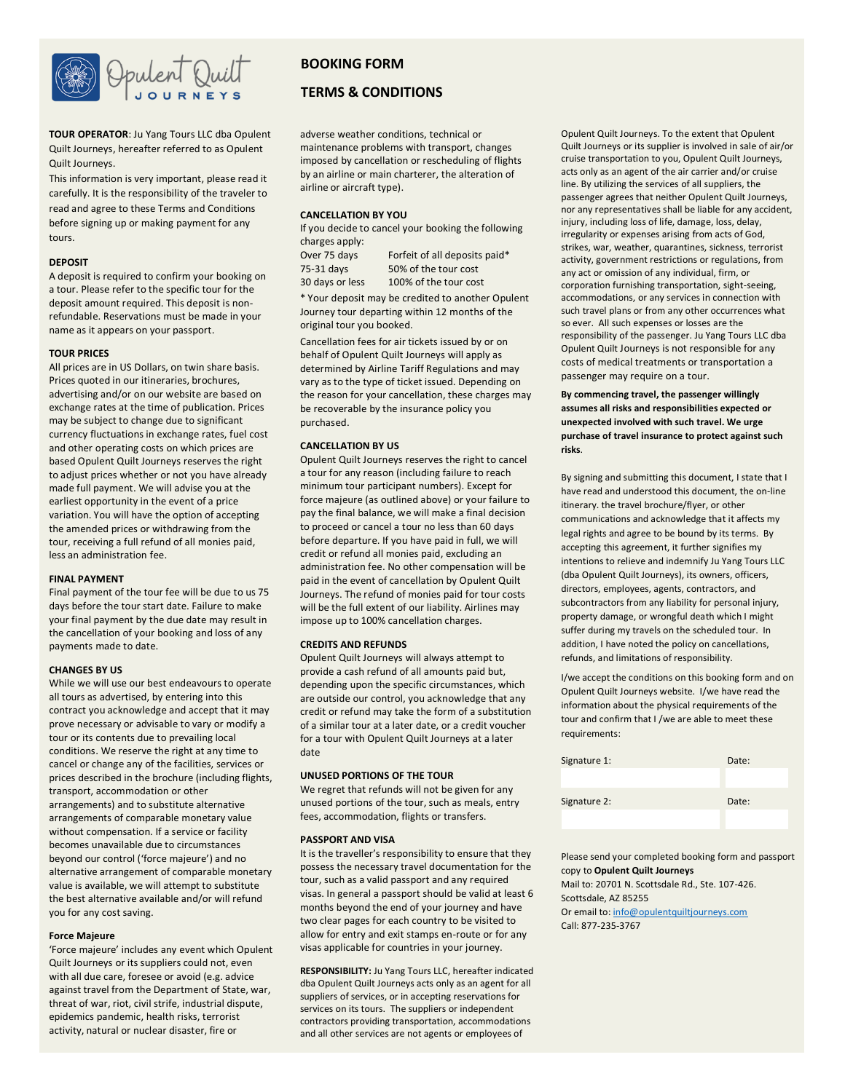

**TOUR OPERATOR**: Ju Yang Tours LLC dba Opulent Quilt Journeys, hereafter referred to as Opulent Quilt Journeys.

This information is very important, please read it carefully. It is the responsibility of the traveler to read and agree to these Terms and Conditions before signing up or making payment for any tours.

#### **DEPOSIT**

A deposit is required to confirm your booking on a tour. Please refer to the specific tour for the deposit amount required. This deposit is nonrefundable. Reservations must be made in your name as it appears on your passport.

#### **TOUR PRICES**

All prices are in US Dollars, on twin share basis. Prices quoted in our itineraries, brochures, advertising and/or on our website are based on exchange rates at the time of publication. Prices may be subject to change due to significant currency fluctuations in exchange rates, fuel cost and other operating costs on which prices are based Opulent Quilt Journeys reserves the right to adjust prices whether or not you have already made full payment. We will advise you at the earliest opportunity in the event of a price variation. You will have the option of accepting the amended prices or withdrawing from the tour, receiving a full refund of all monies paid, less an administration fee.

#### **FINAL PAYMENT**

Final payment of the tour fee will be due to us 75 days before the tour start date. Failure to make your final payment by the due date may result in the cancellation of your booking and loss of any payments made to date.

### **CHANGES BY US**

While we will use our best endeavours to operate all tours as advertised, by entering into this contract you acknowledge and accept that it may prove necessary or advisable to vary or modify a tour or its contents due to prevailing local conditions. We reserve the right at any time to cancel or change any of the facilities, services or prices described in the brochure (including flights, transport, accommodation or other arrangements) and to substitute alternative arrangements of comparable monetary value without compensation. If a service or facility becomes unavailable due to circumstances beyond our control ('force majeure') and no alternative arrangement of comparable monetary value is available, we will attempt to substitute the best alternative available and/or will refund you for any cost saving.

### **Force Majeure**

'Force majeure' includes any event which Opulent Quilt Journeys or its suppliers could not, even with all due care, foresee or avoid (e.g. advice against travel from the Department of State, war, threat of war, riot, civil strife, industrial dispute, epidemics pandemic, health risks, terrorist activity, natural or nuclear disaster, fire or

## **BOOKING FORM**

### **TERMS & CONDITIONS**

adverse weather conditions, technical or maintenance problems with transport, changes imposed by cancellation or rescheduling of flights by an airline or main charterer, the alteration of airline or aircraft type).

### **CANCELLATION BY YOU**

| If you decide to cancel your booking the following |                               |  |  |
|----------------------------------------------------|-------------------------------|--|--|
| charges apply:                                     |                               |  |  |
| Over 75 days                                       | Forfeit of all deposits paid* |  |  |
| 75-31 days                                         | 50% of the tour cost          |  |  |
| 30 days or less                                    | 100% of the tour cost         |  |  |

\* Your deposit may be credited to another Opulent Journey tour departing within 12 months of the original tour you booked.

Cancellation fees for air tickets issued by or on behalf of Opulent Quilt Journeys will apply as determined by Airline Tariff Regulations and may vary as to the type of ticket issued. Depending on the reason for your cancellation, these charges may be recoverable by the insurance policy you purchased.

### **CANCELLATION BY US**

Opulent Quilt Journeys reserves the right to cancel a tour for any reason (including failure to reach minimum tour participant numbers). Except for force majeure (as outlined above) or your failure to pay the final balance, we will make a final decision to proceed or cancel a tour no less than 60 days before departure. If you have paid in full, we will credit or refund all monies paid, excluding an administration fee. No other compensation will be paid in the event of cancellation by Opulent Quilt Journeys. The refund of monies paid for tour costs will be the full extent of our liability. Airlines may impose up to 100% cancellation charges.

### **CREDITS AND REFUNDS**

Opulent Quilt Journeys will always attempt to provide a cash refund of all amounts paid but, depending upon the specific circumstances, which are outside our control, you acknowledge that any credit or refund may take the form of a substitution of a similar tour at a later date, or a credit voucher for a tour with Opulent Quilt Journeys at a later date

#### **UNUSED PORTIONS OF THE TOUR**

We regret that refunds will not be given for any unused portions of the tour, such as meals, entry fees, accommodation, flights or transfers.

#### **PASSPORT AND VISA**

It is the traveller's responsibility to ensure that they possess the necessary travel documentation for the tour, such as a valid passport and any required visas. In general a passport should be valid at least 6 months beyond the end of your journey and have two clear pages for each country to be visited to allow for entry and exit stamps en-route or for any visas applicable for countries in your journey.

**RESPONSIBILITY:** Ju Yang Tours LLC, hereafter indicated dba Opulent Quilt Journeys acts only as an agent for all suppliers of services, or in accepting reservations for services on its tours. The suppliers or independent contractors providing transportation, accommodations and all other services are not agents or employees of

Opulent Quilt Journeys. To the extent that Opulent Quilt Journeys or its supplier is involved in sale of air/or cruise transportation to you, Opulent Quilt Journeys, acts only as an agent of the air carrier and/or cruise line. By utilizing the services of all suppliers, the passenger agrees that neither Opulent Quilt Journeys, nor any representatives shall be liable for any accident, injury, including loss of life, damage, loss, delay, irregularity or expenses arising from acts of God, strikes, war, weather, quarantines, sickness, terrorist activity, government restrictions or regulations, from any act or omission of any individual, firm, or corporation furnishing transportation, sight-seeing, accommodations, or any services in connection with such travel plans or from any other occurrences what so ever. All such expenses or losses are the responsibility of the passenger. Ju Yang Tours LLC dba Opulent Quilt Journeys is not responsible for any costs of medical treatments or transportation a passenger may require on a tour.

### **By commencing travel, the passenger willingly assumes all risks and responsibilities expected or unexpected involved with such travel. We urge purchase of travel insurance to protect against such risks**.

By signing and submitting this document, I state that I have read and understood this document, the on-line itinerary. the travel brochure/flyer, or other communications and acknowledge that it affects my legal rights and agree to be bound by its terms. By accepting this agreement, it further signifies my intentions to relieve and indemnify Ju Yang Tours LLC (dba Opulent Quilt Journeys), its owners, officers, directors, employees, agents, contractors, and subcontractors from any liability for personal injury, property damage, or wrongful death which I might suffer during my travels on the scheduled tour. In addition, I have noted the policy on cancellations, refunds, and limitations of responsibility.

I/we accept the conditions on this booking form and on Opulent Quilt Journeys website. I/we have read the information about the physical requirements of the tour and confirm that I /we are able to meet these requirements:

| Signature 1: | Date: |
|--------------|-------|
|              |       |
| Signature 2: | Date: |
|              |       |

Please send your completed booking form and passport copy to **Opulent Quilt Journeys** Mail to: 20701 N. Scottsdale Rd., Ste. 107-426. Scottsdale, AZ 85255 Or email to[: info@opulentquiltjourneys.com](mailto:info@opulentquiltjourneys.com) Call: 877-235-3767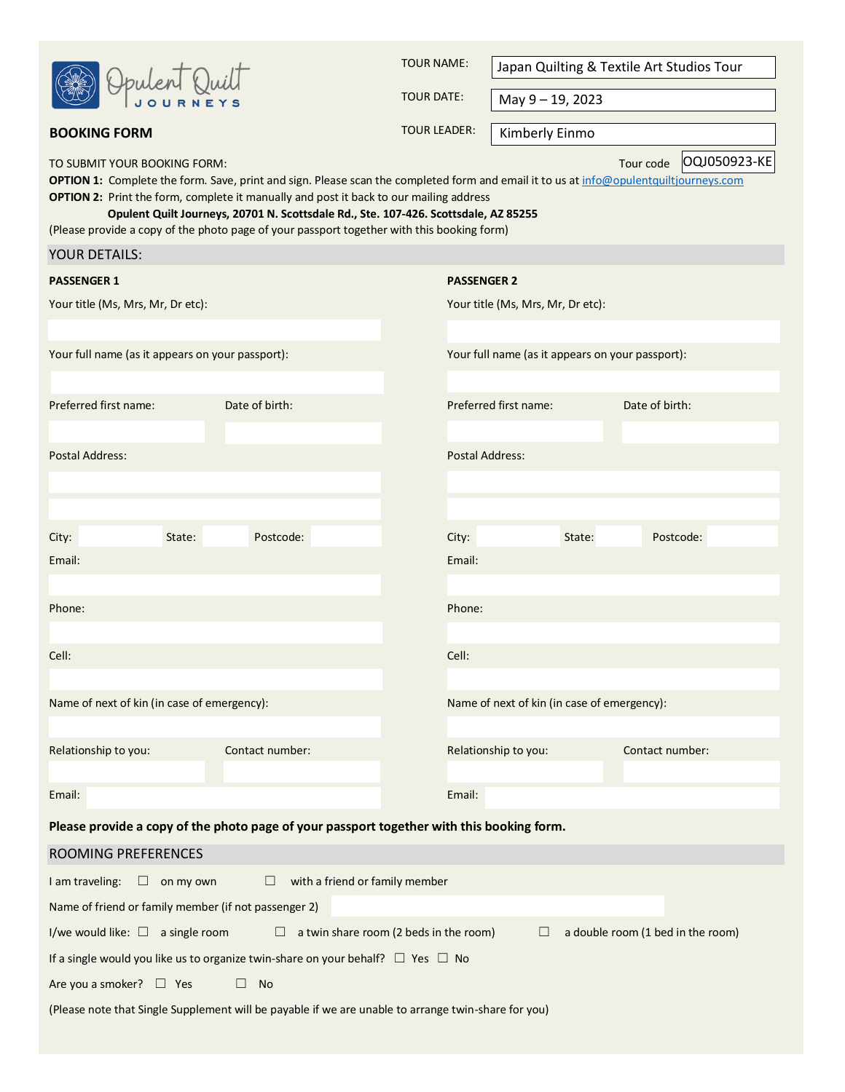|  | Opulent K<br>$\ln i$ $\prod$<br><b>JOURNEYS</b> |
|--|-------------------------------------------------|
|--|-------------------------------------------------|

TOUR NAME:

Japan Quilting & Textile Art Studios Tour

TOUR DATE:

May 9 – 19, 2023

Kimberly Einmo

TO SUBMIT YOUR BOOKING FORM:

YOUR DETAILS:

Tour code | 0QJ050923-KE

**OPTION 1:** Complete the form. Save, print and sign. Please scan the completed form and email it to us a[t info@opulentquiltjourneys.com](mailto:info@opulentquiltjourneys.com) **OPTION 2:** Print the form, complete it manually and post it back to our mailing address

**Opulent Quilt Journeys, 20701 N. Scottsdale Rd., Ste. 107-426. Scottsdale, AZ 85255**

(Please provide a copy of the photo page of your passport together with this booking form)

**BOOKING FORM BOOKING FORM** 

| <b>PASSENGER 1</b>                                   |                  |                                                                                           |                                        | <b>PASSENGER 2</b>                               |        |                                   |  |
|------------------------------------------------------|------------------|-------------------------------------------------------------------------------------------|----------------------------------------|--------------------------------------------------|--------|-----------------------------------|--|
| Your title (Ms, Mrs, Mr, Dr etc):                    |                  |                                                                                           | Your title (Ms, Mrs, Mr, Dr etc):      |                                                  |        |                                   |  |
|                                                      |                  |                                                                                           |                                        |                                                  |        |                                   |  |
| Your full name (as it appears on your passport):     |                  |                                                                                           |                                        | Your full name (as it appears on your passport): |        |                                   |  |
|                                                      |                  |                                                                                           |                                        |                                                  |        |                                   |  |
| Preferred first name:                                |                  | Date of birth:                                                                            |                                        | Preferred first name:                            |        | Date of birth:                    |  |
|                                                      |                  |                                                                                           |                                        |                                                  |        |                                   |  |
| <b>Postal Address:</b>                               |                  |                                                                                           |                                        | <b>Postal Address:</b>                           |        |                                   |  |
|                                                      |                  |                                                                                           |                                        |                                                  |        |                                   |  |
| City:                                                | State:           | Postcode:                                                                                 |                                        | City:                                            | State: | Postcode:                         |  |
| Email:                                               |                  |                                                                                           |                                        | Email:                                           |        |                                   |  |
|                                                      |                  |                                                                                           |                                        |                                                  |        |                                   |  |
| Phone:                                               |                  |                                                                                           |                                        | Phone:                                           |        |                                   |  |
|                                                      |                  |                                                                                           |                                        |                                                  |        |                                   |  |
| Cell:                                                |                  |                                                                                           |                                        | Cell:                                            |        |                                   |  |
|                                                      |                  |                                                                                           |                                        |                                                  |        |                                   |  |
| Name of next of kin (in case of emergency):          |                  |                                                                                           |                                        | Name of next of kin (in case of emergency):      |        |                                   |  |
| Relationship to you:                                 |                  | Contact number:                                                                           |                                        | Relationship to you:                             |        | Contact number:                   |  |
|                                                      |                  |                                                                                           |                                        |                                                  |        |                                   |  |
| Email:                                               |                  |                                                                                           |                                        | Email:                                           |        |                                   |  |
|                                                      |                  | Please provide a copy of the photo page of your passport together with this booking form. |                                        |                                                  |        |                                   |  |
| <b>ROOMING PREFERENCES</b>                           |                  |                                                                                           |                                        |                                                  |        |                                   |  |
| I am traveling:                                      | $\Box$ on my own |                                                                                           | with a friend or family member         |                                                  |        |                                   |  |
| Name of friend or family member (if not passenger 2) |                  |                                                                                           |                                        |                                                  |        |                                   |  |
| I/we would like: $\square$ a single room             |                  | $\Box$                                                                                    | a twin share room (2 beds in the room) | $\Box$                                           |        | a double room (1 bed in the room) |  |
|                                                      |                  | If a single would you like us to organize twin-share on your behalf? $\Box$ Yes $\Box$ No |                                        |                                                  |        |                                   |  |
| Are you a smoker? $\square$ Yes                      |                  | $\Box$<br>No                                                                              |                                        |                                                  |        |                                   |  |

(Please note that Single Supplement will be payable if we are unable to arrange twin-share for you)